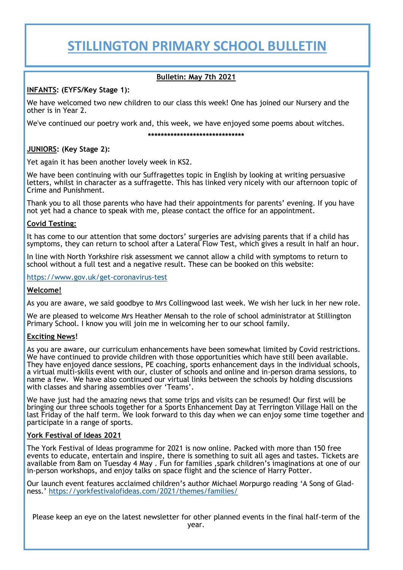## **STILLINGTON PRIMARY SCHOOL BULLETIN**

#### **Bulletin: May 7th 2021**

#### **INFANTS: (EYFS/Key Stage 1):**

We have welcomed two new children to our class this week! One has joined our Nursery and the other is in Year 2.

We've continued our poetry work and, this week, we have enjoyed some poems about witches.

#### **\*\*\*\*\*\*\*\*\*\*\*\*\*\*\*\*\*\*\*\*\*\*\*\*\*\*\*\*\*\***

### **JUNIORS: (Key Stage 2):**

Yet again it has been another lovely week in KS2.

We have been continuing with our Suffragettes topic in English by looking at writing persuasive letters, whilst in character as a suffragette. This has linked very nicely with our afternoon topic of Crime and Punishment.

Thank you to all those parents who have had their appointments for parents' evening. If you have not yet had a chance to speak with me, please contact the office for an appointment.

#### **Covid Testing:**

It has come to our attention that some doctors' surgeries are advising parents that if a child has symptoms, they can return to school after a Lateral Flow Test, which gives a result in half an hour.

In line with North Yorkshire risk assessment we cannot allow a child with symptoms to return to school without a full test and a negative result. These can be booked on this website:

[https://www.gov.uk/get](https://www.gov.uk/get-coronavirus-test)-coronavirus-test

#### **Welcome!**

As you are aware, we said goodbye to Mrs Collingwood last week. We wish her luck in her new role.

We are pleased to welcome Mrs Heather Mensah to the role of school administrator at Stillington Primary School. I know you will join me in welcoming her to our school family.

#### **Exciting News!**

As you are aware, our curriculum enhancements have been somewhat limited by Covid restrictions. We have continued to provide children with those opportunities which have still been available. They have enjoyed dance sessions, PE coaching, sports enhancement days in the individual schools, a virtual multi-skills event with our, cluster of schools and online and in-person drama sessions, to name a few. We have also continued our virtual links between the schools by holding discussions with classes and sharing assemblies over 'Teams'.

We have just had the amazing news that some trips and visits can be resumed! Our first will be bringing our three schools together for a Sports Enhancement Day at Terrington Village Hall on the last Friday of the half term. We look forward to this day when we can enjoy some time together and participate in a range of sports.

#### **York Festival of Ideas 2021**

The York Festival of Ideas programme for 2021 is now online. Packed with more than 150 free events to educate, entertain and inspire, there is something to suit all ages and tastes. Tickets are available from 8am on Tuesday 4 May . Fun for families ,spark children's imaginations at one of our in-person workshops, and enjoy talks on space flight and the science of Harry Potter.

Our launch event features acclaimed children's author Michael Morpurgo reading 'A Song of Gladness.' [https://yorkfestivalofideas.com/2021/themes/families/](https://yorkfestivalofideas.com/2021/themes/)

Please keep an eye on the latest newsletter for other planned events in the final half-term of the year.